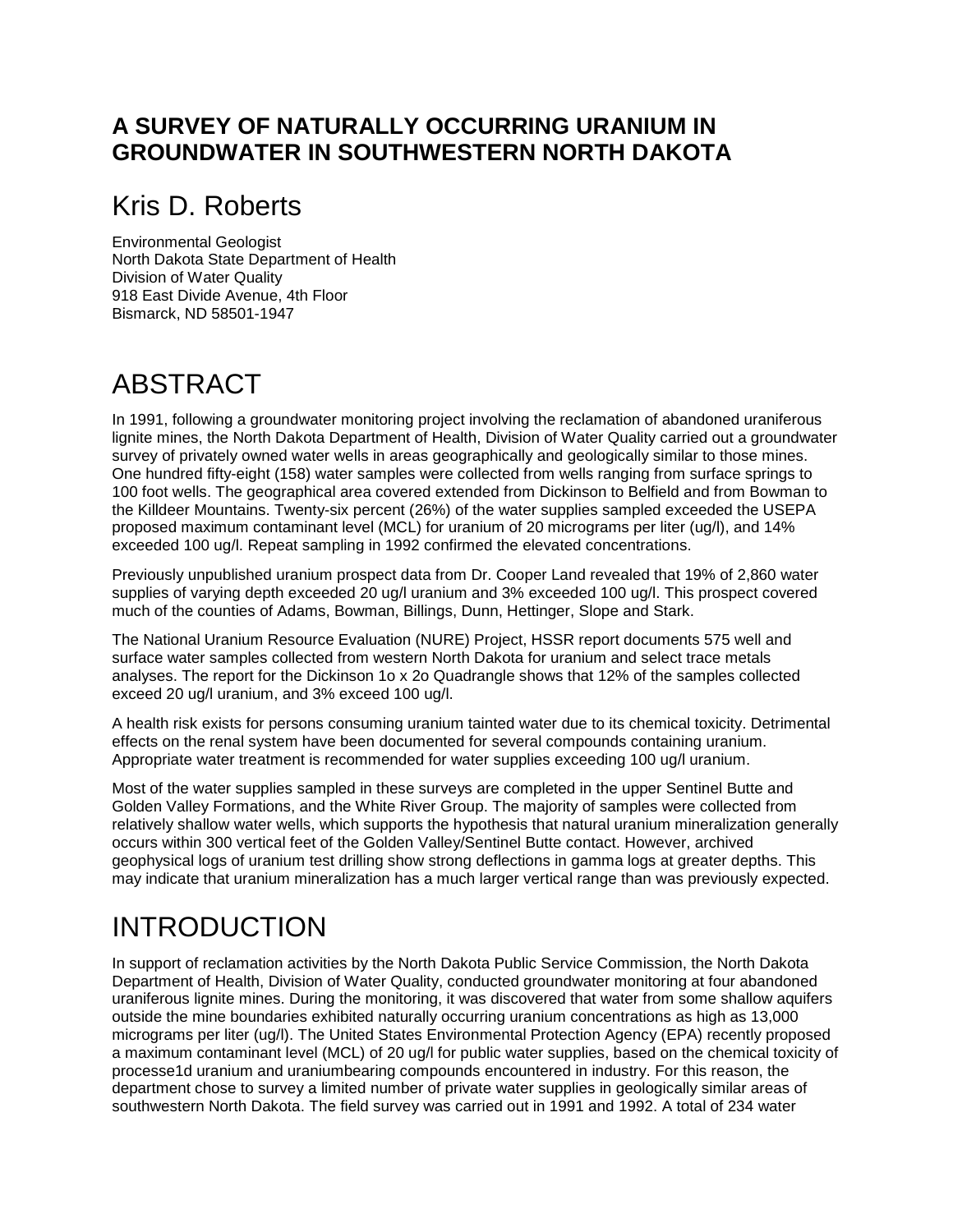#### **A SURVEY OF NATURALLY OCCURRING URANIUM IN GROUNDWATER IN SOUTHWESTERN NORTH DAKOTA**

### Kris D. Roberts

Environmental Geologist North Dakota State Department of Health Division of Water Quality 918 East Divide Avenue, 4th Floor Bismarck, ND 58501-1947

### ABSTRACT

In 1991, following a groundwater monitoring project involving the reclamation of abandoned uraniferous lignite mines, the North Dakota Department of Health, Division of Water Quality carried out a groundwater survey of privately owned water wells in areas geographically and geologically similar to those mines. One hundred fifty-eight (158) water samples were collected from wells ranging from surface springs to 100 foot wells. The geographical area covered extended from Dickinson to Belfield and from Bowman to the Killdeer Mountains. Twenty-six percent (26%) of the water supplies sampled exceeded the USEPA proposed maximum contaminant level (MCL) for uranium of 20 micrograms per liter (ug/l), and 14% exceeded 100 ug/l. Repeat sampling in 1992 confirmed the elevated concentrations.

Previously unpublished uranium prospect data from Dr. Cooper Land revealed that 19% of 2,860 water supplies of varying depth exceeded 20 ug/l uranium and 3% exceeded 100 ug/l. This prospect covered much of the counties of Adams, Bowman, Billings, Dunn, Hettinger, Slope and Stark.

The National Uranium Resource Evaluation (NURE) Project, HSSR report documents 575 well and surface water samples collected from western North Dakota for uranium and select trace metals analyses. The report for the Dickinson 1o x 2o Quadrangle shows that 12% of the samples collected exceed 20 ug/l uranium, and 3% exceed 100 ug/l.

A health risk exists for persons consuming uranium tainted water due to its chemical toxicity. Detrimental effects on the renal system have been documented for several compounds containing uranium. Appropriate water treatment is recommended for water supplies exceeding 100 ug/l uranium.

Most of the water supplies sampled in these surveys are completed in the upper Sentinel Butte and Golden Valley Formations, and the White River Group. The majority of samples were collected from relatively shallow water wells, which supports the hypothesis that natural uranium mineralization generally occurs within 300 vertical feet of the Golden Valley/Sentinel Butte contact. However, archived geophysical logs of uranium test drilling show strong deflections in gamma logs at greater depths. This may indicate that uranium mineralization has a much larger vertical range than was previously expected.

# INTRODUCTION

In support of reclamation activities by the North Dakota Public Service Commission, the North Dakota Department of Health, Division of Water Quality, conducted groundwater monitoring at four abandoned uraniferous lignite mines. During the monitoring, it was discovered that water from some shallow aquifers outside the mine boundaries exhibited naturally occurring uranium concentrations as high as 13,000 micrograms per liter (ug/l). The United States Environmental Protection Agency (EPA) recently proposed a maximum contaminant level (MCL) of 20 ug/l for public water supplies, based on the chemical toxicity of processe1d uranium and uraniumbearing compounds encountered in industry. For this reason, the department chose to survey a limited number of private water supplies in geologically similar areas of southwestern North Dakota. The field survey was carried out in 1991 and 1992. A total of 234 water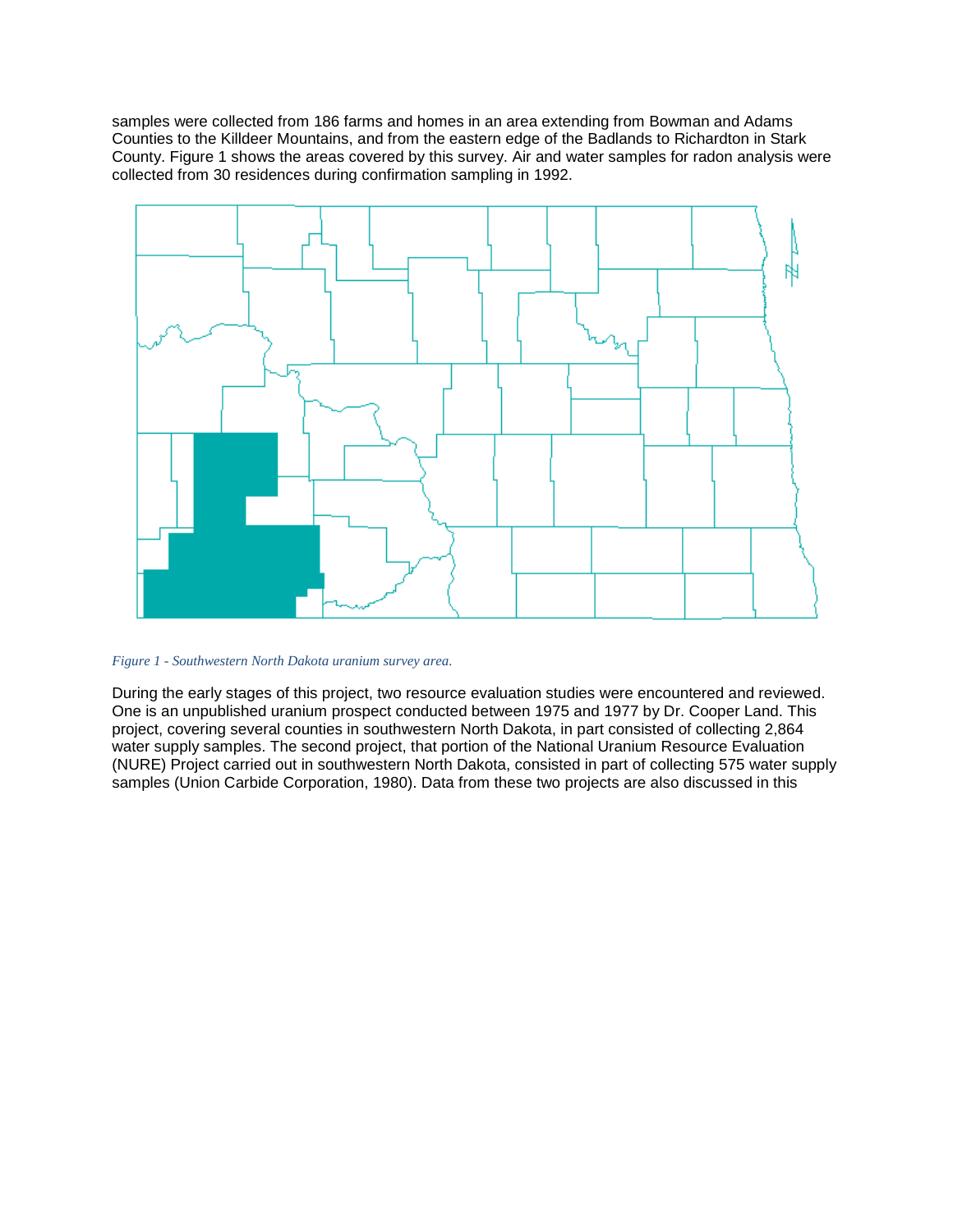samples were collected from 186 farms and homes in an area extending from Bowman and Adams Counties to the Killdeer Mountains, and from the eastern edge of the Badlands to Richardton in Stark County. Figure 1 shows the areas covered by this survey. Air and water samples for radon analysis were collected from 30 residences during confirmation sampling in 1992.



*Figure 1 - Southwestern North Dakota uranium survey area.*

During the early stages of this project, two resource evaluation studies were encountered and reviewed. One is an unpublished uranium prospect conducted between 1975 and 1977 by Dr. Cooper Land. This project, covering several counties in southwestern North Dakota, in part consisted of collecting 2,864 water supply samples. The second project, that portion of the National Uranium Resource Evaluation (NURE) Project carried out in southwestern North Dakota, consisted in part of collecting 575 water supply samples (Union Carbide Corporation, 1980). Data from these two projects are also discussed in this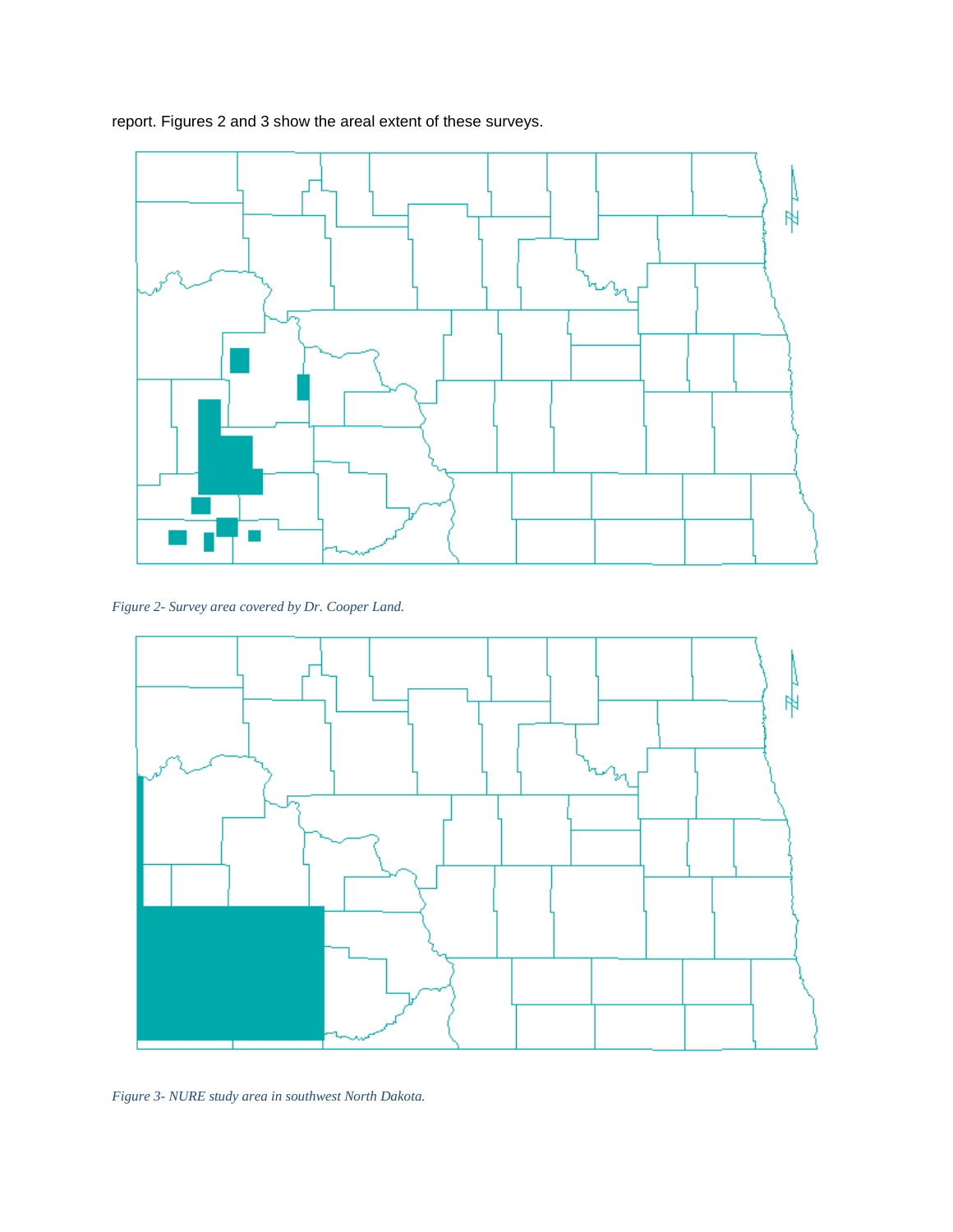report. Figures 2 and 3 show the areal extent of these surveys.



*Figure 2- Survey area covered by Dr. Cooper Land.*



*Figure 3- NURE study area in southwest North Dakota.*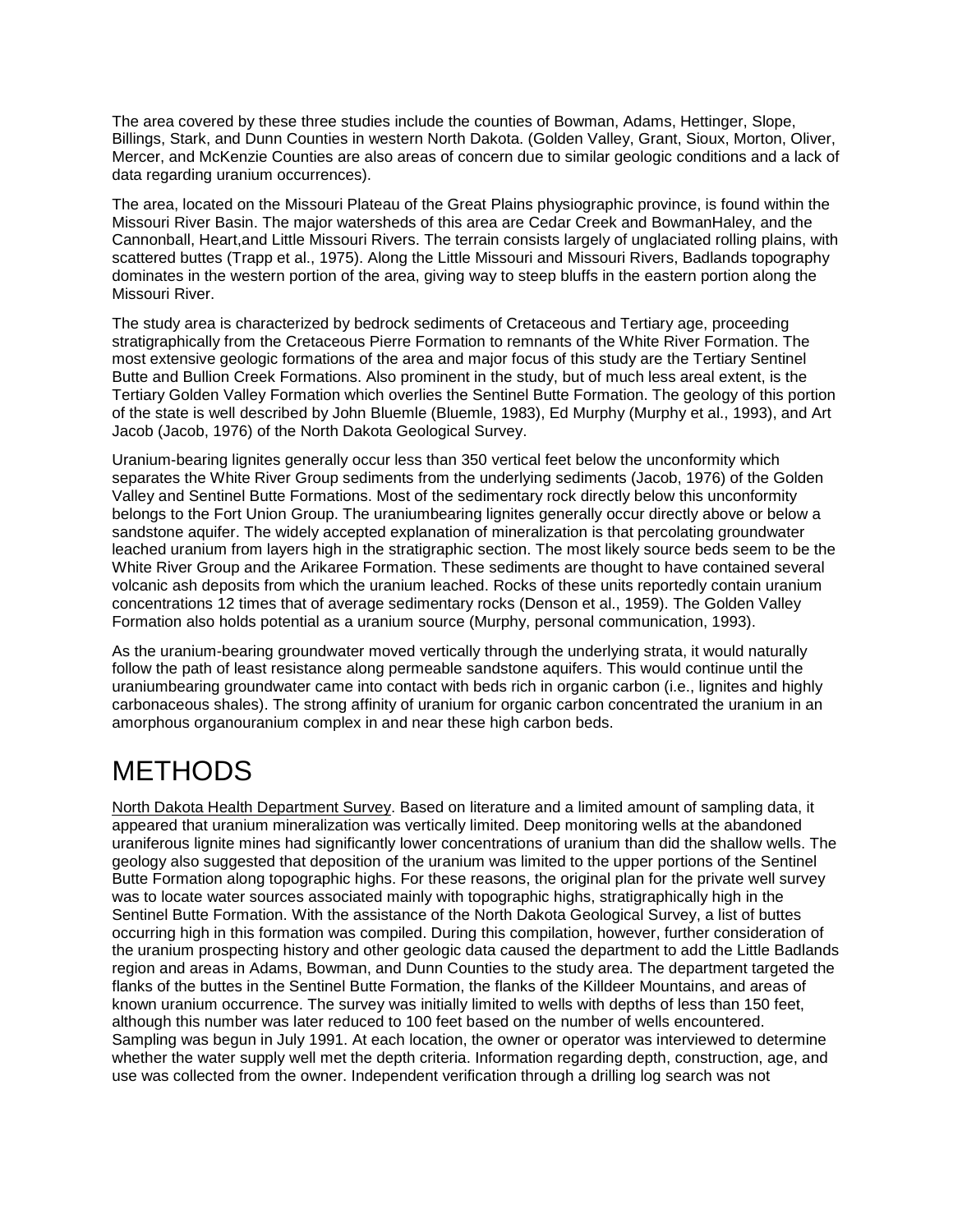The area covered by these three studies include the counties of Bowman, Adams, Hettinger, Slope, Billings, Stark, and Dunn Counties in western North Dakota. (Golden Valley, Grant, Sioux, Morton, Oliver, Mercer, and McKenzie Counties are also areas of concern due to similar geologic conditions and a lack of data regarding uranium occurrences).

The area, located on the Missouri Plateau of the Great Plains physiographic province, is found within the Missouri River Basin. The major watersheds of this area are Cedar Creek and BowmanHaley, and the Cannonball, Heart,and Little Missouri Rivers. The terrain consists largely of unglaciated rolling plains, with scattered buttes (Trapp et al., 1975). Along the Little Missouri and Missouri Rivers, Badlands topography dominates in the western portion of the area, giving way to steep bluffs in the eastern portion along the Missouri River.

The study area is characterized by bedrock sediments of Cretaceous and Tertiary age, proceeding stratigraphically from the Cretaceous Pierre Formation to remnants of the White River Formation. The most extensive geologic formations of the area and major focus of this study are the Tertiary Sentinel Butte and Bullion Creek Formations. Also prominent in the study, but of much less areal extent, is the Tertiary Golden Valley Formation which overlies the Sentinel Butte Formation. The geology of this portion of the state is well described by John Bluemle (Bluemle, 1983), Ed Murphy (Murphy et al., 1993), and Art Jacob (Jacob, 1976) of the North Dakota Geological Survey.

Uranium-bearing lignites generally occur less than 350 vertical feet below the unconformity which separates the White River Group sediments from the underlying sediments (Jacob, 1976) of the Golden Valley and Sentinel Butte Formations. Most of the sedimentary rock directly below this unconformity belongs to the Fort Union Group. The uraniumbearing lignites generally occur directly above or below a sandstone aquifer. The widely accepted explanation of mineralization is that percolating groundwater leached uranium from layers high in the stratigraphic section. The most likely source beds seem to be the White River Group and the Arikaree Formation. These sediments are thought to have contained several volcanic ash deposits from which the uranium leached. Rocks of these units reportedly contain uranium concentrations 12 times that of average sedimentary rocks (Denson et al., 1959). The Golden Valley Formation also holds potential as a uranium source (Murphy, personal communication, 1993).

As the uranium-bearing groundwater moved vertically through the underlying strata, it would naturally follow the path of least resistance along permeable sandstone aquifers. This would continue until the uraniumbearing groundwater came into contact with beds rich in organic carbon (i.e., lignites and highly carbonaceous shales). The strong affinity of uranium for organic carbon concentrated the uranium in an amorphous organouranium complex in and near these high carbon beds.

### **METHODS**

North Dakota Health Department Survey. Based on literature and a limited amount of sampling data, it appeared that uranium mineralization was vertically limited. Deep monitoring wells at the abandoned uraniferous lignite mines had significantly lower concentrations of uranium than did the shallow wells. The geology also suggested that deposition of the uranium was limited to the upper portions of the Sentinel Butte Formation along topographic highs. For these reasons, the original plan for the private well survey was to locate water sources associated mainly with topographic highs, stratigraphically high in the Sentinel Butte Formation. With the assistance of the North Dakota Geological Survey, a list of buttes occurring high in this formation was compiled. During this compilation, however, further consideration of the uranium prospecting history and other geologic data caused the department to add the Little Badlands region and areas in Adams, Bowman, and Dunn Counties to the study area. The department targeted the flanks of the buttes in the Sentinel Butte Formation, the flanks of the Killdeer Mountains, and areas of known uranium occurrence. The survey was initially limited to wells with depths of less than 150 feet, although this number was later reduced to 100 feet based on the number of wells encountered. Sampling was begun in July 1991. At each location, the owner or operator was interviewed to determine whether the water supply well met the depth criteria. Information regarding depth, construction, age, and use was collected from the owner. Independent verification through a drilling log search was not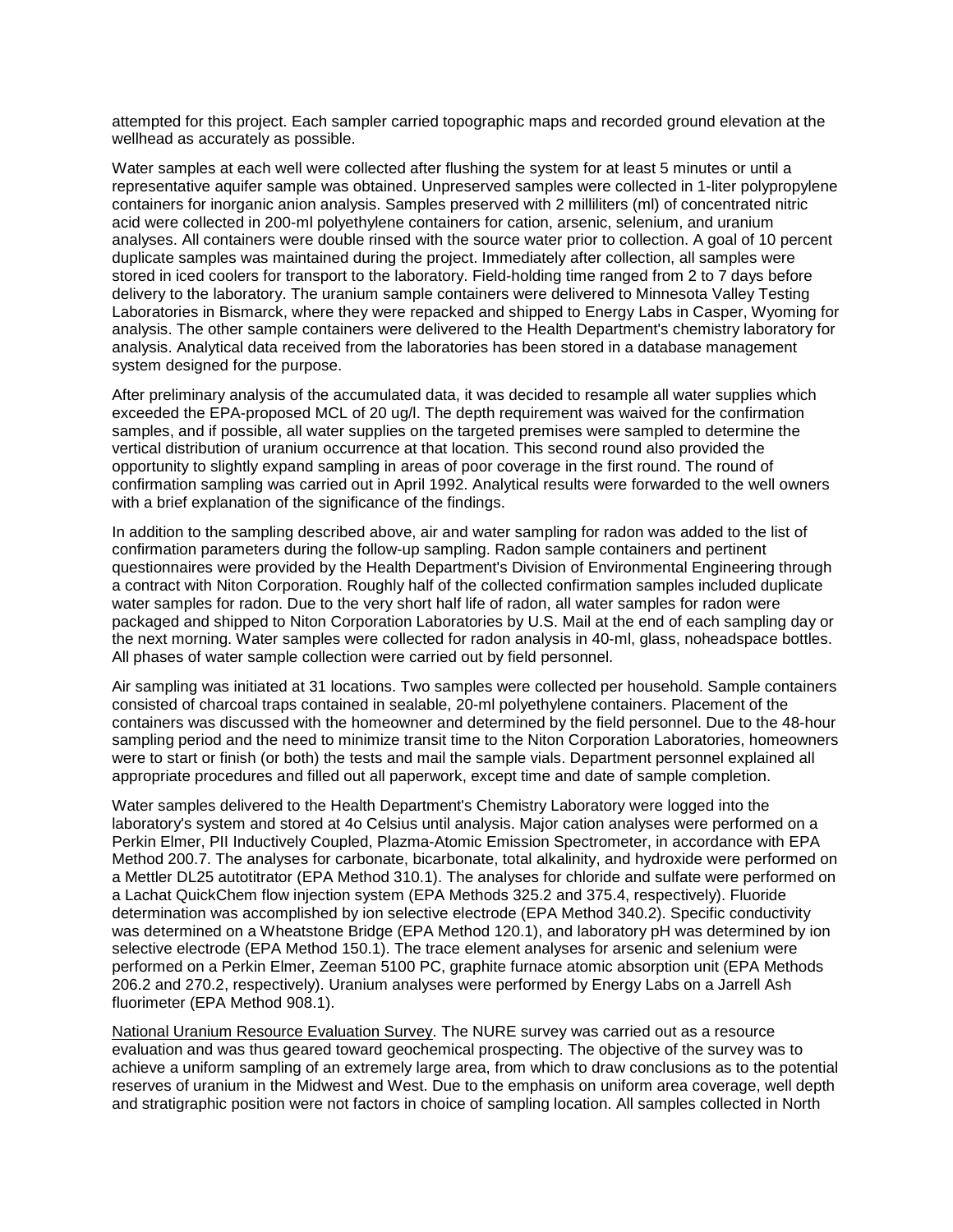attempted for this project. Each sampler carried topographic maps and recorded ground elevation at the wellhead as accurately as possible.

Water samples at each well were collected after flushing the system for at least 5 minutes or until a representative aquifer sample was obtained. Unpreserved samples were collected in 1-liter polypropylene containers for inorganic anion analysis. Samples preserved with 2 milliliters (ml) of concentrated nitric acid were collected in 200-ml polyethylene containers for cation, arsenic, selenium, and uranium analyses. All containers were double rinsed with the source water prior to collection. A goal of 10 percent duplicate samples was maintained during the project. Immediately after collection, all samples were stored in iced coolers for transport to the laboratory. Field-holding time ranged from 2 to 7 days before delivery to the laboratory. The uranium sample containers were delivered to Minnesota Valley Testing Laboratories in Bismarck, where they were repacked and shipped to Energy Labs in Casper, Wyoming for analysis. The other sample containers were delivered to the Health Department's chemistry laboratory for analysis. Analytical data received from the laboratories has been stored in a database management system designed for the purpose.

After preliminary analysis of the accumulated data, it was decided to resample all water supplies which exceeded the EPA-proposed MCL of 20 ug/l. The depth requirement was waived for the confirmation samples, and if possible, all water supplies on the targeted premises were sampled to determine the vertical distribution of uranium occurrence at that location. This second round also provided the opportunity to slightly expand sampling in areas of poor coverage in the first round. The round of confirmation sampling was carried out in April 1992. Analytical results were forwarded to the well owners with a brief explanation of the significance of the findings.

In addition to the sampling described above, air and water sampling for radon was added to the list of confirmation parameters during the follow-up sampling. Radon sample containers and pertinent questionnaires were provided by the Health Department's Division of Environmental Engineering through a contract with Niton Corporation. Roughly half of the collected confirmation samples included duplicate water samples for radon. Due to the very short half life of radon, all water samples for radon were packaged and shipped to Niton Corporation Laboratories by U.S. Mail at the end of each sampling day or the next morning. Water samples were collected for radon analysis in 40-ml, glass, noheadspace bottles. All phases of water sample collection were carried out by field personnel.

Air sampling was initiated at 31 locations. Two samples were collected per household. Sample containers consisted of charcoal traps contained in sealable, 20-ml polyethylene containers. Placement of the containers was discussed with the homeowner and determined by the field personnel. Due to the 48-hour sampling period and the need to minimize transit time to the Niton Corporation Laboratories, homeowners were to start or finish (or both) the tests and mail the sample vials. Department personnel explained all appropriate procedures and filled out all paperwork, except time and date of sample completion.

Water samples delivered to the Health Department's Chemistry Laboratory were logged into the laboratory's system and stored at 4o Celsius until analysis. Major cation analyses were performed on a Perkin Elmer, PII Inductively Coupled, Plazma-Atomic Emission Spectrometer, in accordance with EPA Method 200.7. The analyses for carbonate, bicarbonate, total alkalinity, and hydroxide were performed on a Mettler DL25 autotitrator (EPA Method 310.1). The analyses for chloride and sulfate were performed on a Lachat QuickChem flow injection system (EPA Methods 325.2 and 375.4, respectively). Fluoride determination was accomplished by ion selective electrode (EPA Method 340.2). Specific conductivity was determined on a Wheatstone Bridge (EPA Method 120.1), and laboratory pH was determined by ion selective electrode (EPA Method 150.1). The trace element analyses for arsenic and selenium were performed on a Perkin Elmer, Zeeman 5100 PC, graphite furnace atomic absorption unit (EPA Methods 206.2 and 270.2, respectively). Uranium analyses were performed by Energy Labs on a Jarrell Ash fluorimeter (EPA Method 908.1).

National Uranium Resource Evaluation Survey. The NURE survey was carried out as a resource evaluation and was thus geared toward geochemical prospecting. The objective of the survey was to achieve a uniform sampling of an extremely large area, from which to draw conclusions as to the potential reserves of uranium in the Midwest and West. Due to the emphasis on uniform area coverage, well depth and stratigraphic position were not factors in choice of sampling location. All samples collected in North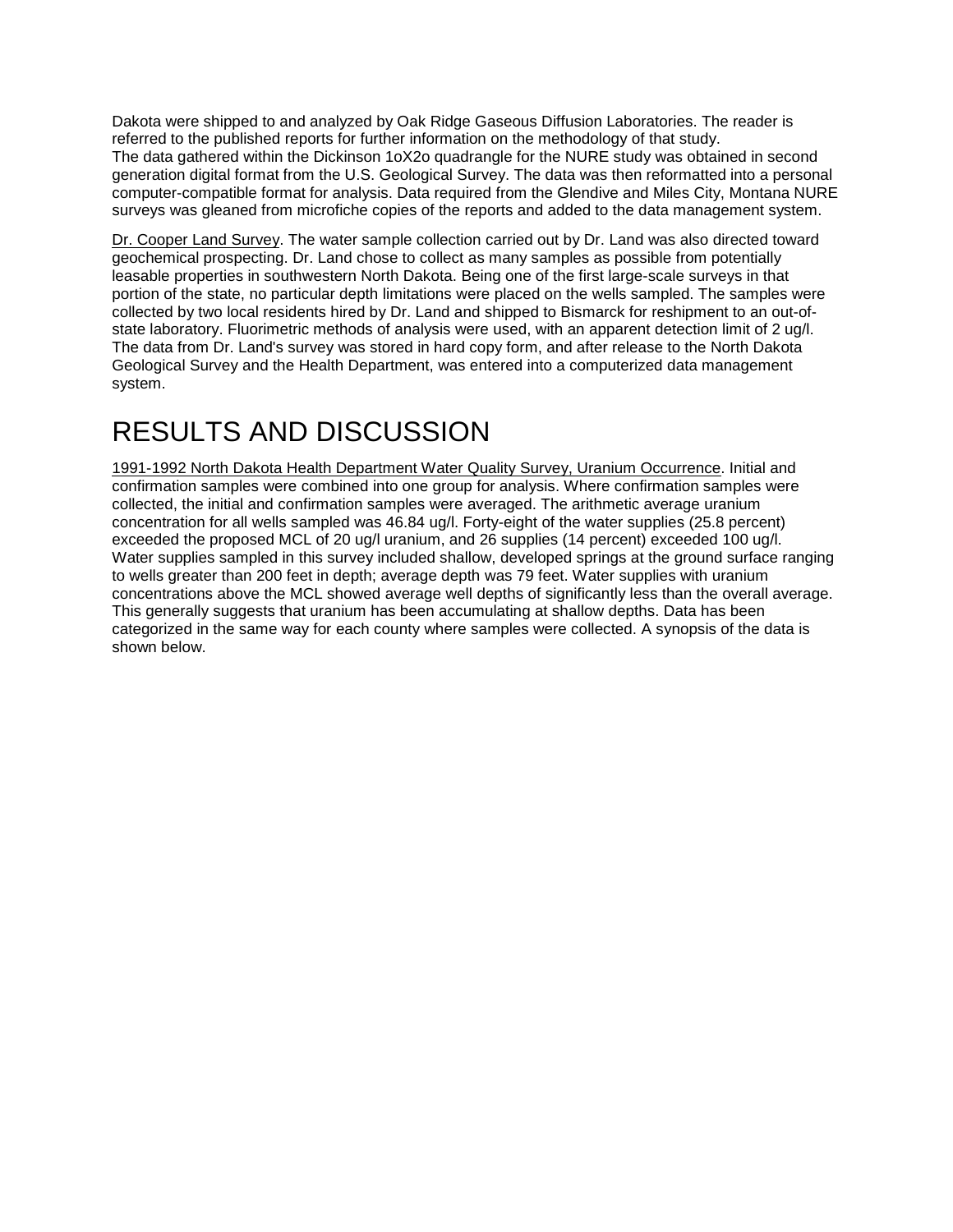Dakota were shipped to and analyzed by Oak Ridge Gaseous Diffusion Laboratories. The reader is referred to the published reports for further information on the methodology of that study. The data gathered within the Dickinson 1oX2o quadrangle for the NURE study was obtained in second generation digital format from the U.S. Geological Survey. The data was then reformatted into a personal computer-compatible format for analysis. Data required from the Glendive and Miles City, Montana NURE surveys was gleaned from microfiche copies of the reports and added to the data management system.

Dr. Cooper Land Survey. The water sample collection carried out by Dr. Land was also directed toward geochemical prospecting. Dr. Land chose to collect as many samples as possible from potentially leasable properties in southwestern North Dakota. Being one of the first large-scale surveys in that portion of the state, no particular depth limitations were placed on the wells sampled. The samples were collected by two local residents hired by Dr. Land and shipped to Bismarck for reshipment to an out-ofstate laboratory. Fluorimetric methods of analysis were used, with an apparent detection limit of 2 ug/l. The data from Dr. Land's survey was stored in hard copy form, and after release to the North Dakota Geological Survey and the Health Department, was entered into a computerized data management system.

# RESULTS AND DISCUSSION

1991-1992 North Dakota Health Department Water Quality Survey, Uranium Occurrence. Initial and confirmation samples were combined into one group for analysis. Where confirmation samples were collected, the initial and confirmation samples were averaged. The arithmetic average uranium concentration for all wells sampled was 46.84 ug/l. Forty-eight of the water supplies (25.8 percent) exceeded the proposed MCL of 20 ug/l uranium, and 26 supplies (14 percent) exceeded 100 ug/l. Water supplies sampled in this survey included shallow, developed springs at the ground surface ranging to wells greater than 200 feet in depth; average depth was 79 feet. Water supplies with uranium concentrations above the MCL showed average well depths of significantly less than the overall average. This generally suggests that uranium has been accumulating at shallow depths. Data has been categorized in the same way for each county where samples were collected. A synopsis of the data is shown below.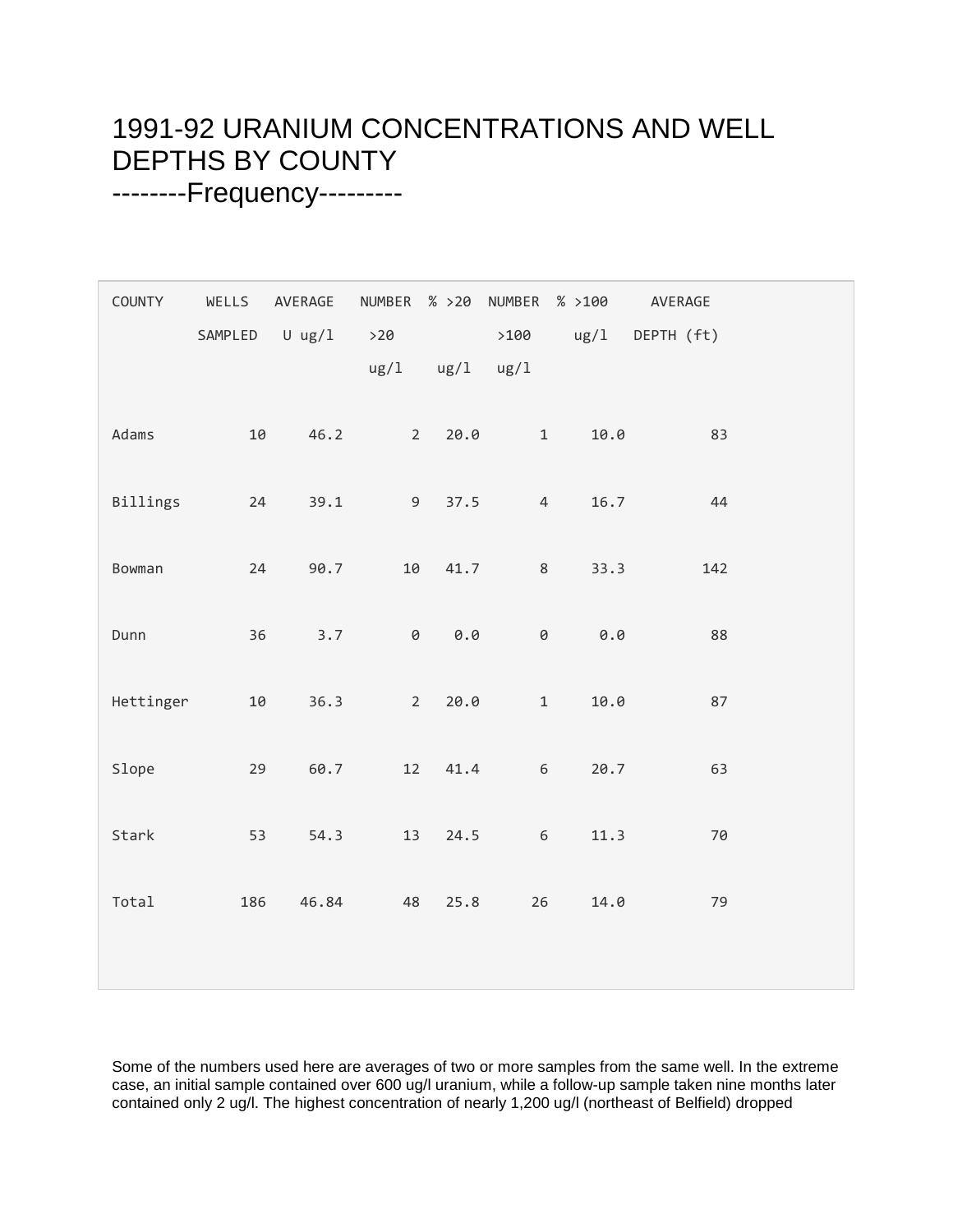### 1991-92 URANIUM CONCENTRATIONS AND WELL DEPTHS BY COUNTY --------Frequency---------

| COUNTY    |     | WELLS AVERAGE  |                                     |      |                | NUMBER % >20 NUMBER % >100 | AVERAGE    |  |
|-----------|-----|----------------|-------------------------------------|------|----------------|----------------------------|------------|--|
|           |     | SAMPLED U ug/1 | >20<br>$\frac{\text{u}\text{g}}{1}$ | ug/1 | >100<br>ug/1   | ug/1                       | DEPTH (ft) |  |
|           |     |                |                                     |      |                |                            |            |  |
| Adams     | 10  | 46.2           | $2^{\circ}$                         | 20.0 | $\mathbf{1}$   | 10.0                       | 83         |  |
| Billings  | 24  | 39.1           | 9 <sup>1</sup>                      | 37.5 | $\overline{4}$ | 16.7                       | 44         |  |
| Bowman    | 24  | 90.7           | 10                                  | 41.7 | 8              | 33.3                       | 142        |  |
| Dunn      | 36  | 3.7            | $\Theta$                            | 0.0  | 0              | 0.0                        | 88         |  |
| Hettinger | 10  | 36.3           | $2^{\circ}$                         | 20.0 | $\mathbf{1}$   | 10.0                       | 87         |  |
| Slope     | 29  | 60.7           | 12                                  | 41.4 | 6              | 20.7                       | 63         |  |
| Stark     | 53  | 54.3           | 13                                  | 24.5 | $\,$ 6 $\,$    | 11.3                       | 70         |  |
| Total     | 186 | 46.84          | 48                                  | 25.8 | 26             | 14.0                       | 79         |  |
|           |     |                |                                     |      |                |                            |            |  |

Some of the numbers used here are averages of two or more samples from the same well. In the extreme case, an initial sample contained over 600 ug/l uranium, while a follow-up sample taken nine months later contained only 2 ug/l. The highest concentration of nearly 1,200 ug/l (northeast of Belfield) dropped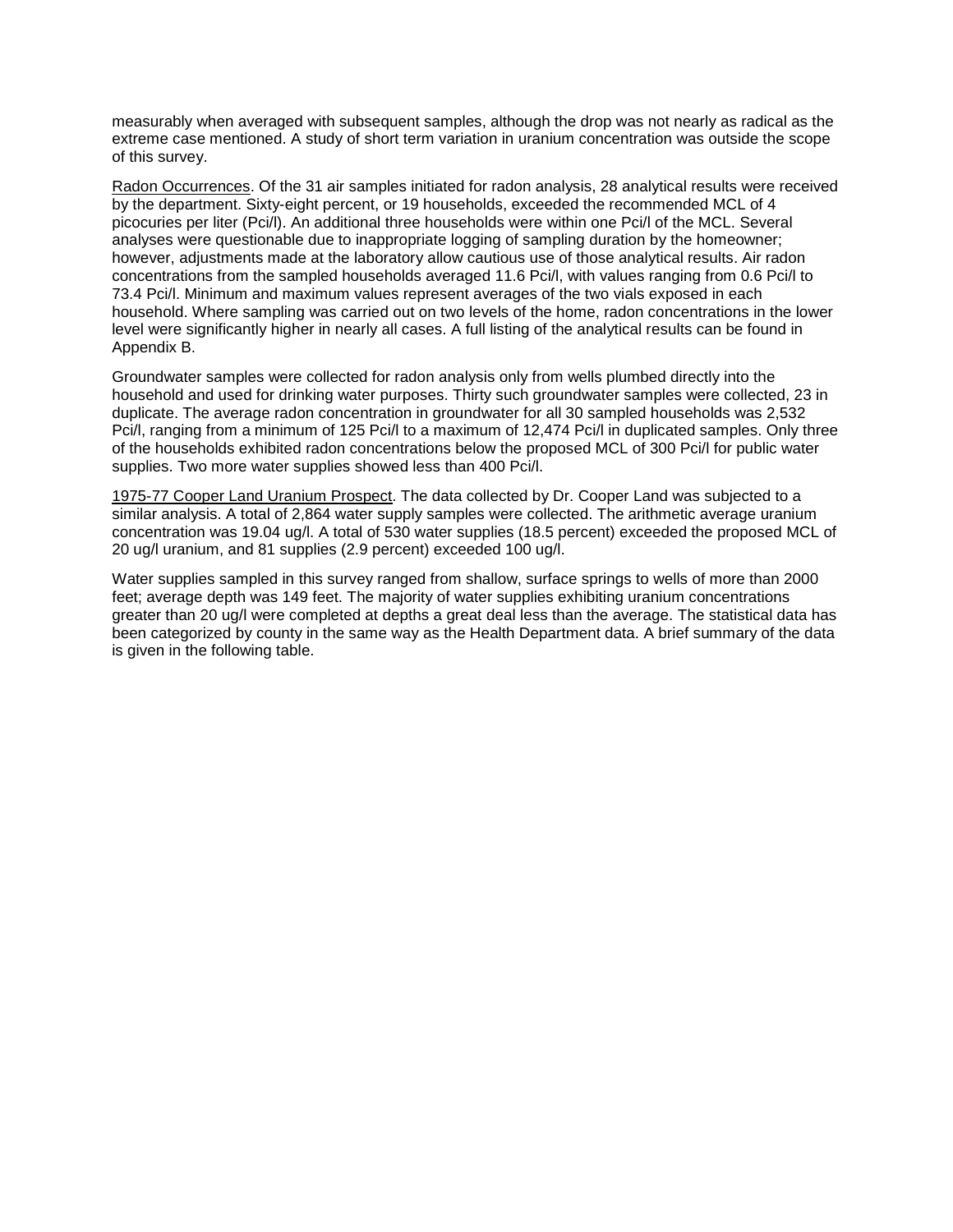measurably when averaged with subsequent samples, although the drop was not nearly as radical as the extreme case mentioned. A study of short term variation in uranium concentration was outside the scope of this survey.

Radon Occurrences. Of the 31 air samples initiated for radon analysis, 28 analytical results were received by the department. Sixty-eight percent, or 19 households, exceeded the recommended MCL of 4 picocuries per liter (Pci/l). An additional three households were within one Pci/l of the MCL. Several analyses were questionable due to inappropriate logging of sampling duration by the homeowner; however, adjustments made at the laboratory allow cautious use of those analytical results. Air radon concentrations from the sampled households averaged 11.6 Pci/l, with values ranging from 0.6 Pci/l to 73.4 Pci/l. Minimum and maximum values represent averages of the two vials exposed in each household. Where sampling was carried out on two levels of the home, radon concentrations in the lower level were significantly higher in nearly all cases. A full listing of the analytical results can be found in Appendix B.

Groundwater samples were collected for radon analysis only from wells plumbed directly into the household and used for drinking water purposes. Thirty such groundwater samples were collected, 23 in duplicate. The average radon concentration in groundwater for all 30 sampled households was 2,532 Pci/l, ranging from a minimum of 125 Pci/l to a maximum of 12,474 Pci/l in duplicated samples. Only three of the households exhibited radon concentrations below the proposed MCL of 300 Pci/l for public water supplies. Two more water supplies showed less than 400 Pci/l.

1975-77 Cooper Land Uranium Prospect. The data collected by Dr. Cooper Land was subjected to a similar analysis. A total of 2,864 water supply samples were collected. The arithmetic average uranium concentration was 19.04 ug/l. A total of 530 water supplies (18.5 percent) exceeded the proposed MCL of 20 ug/l uranium, and 81 supplies (2.9 percent) exceeded 100 ug/l.

Water supplies sampled in this survey ranged from shallow, surface springs to wells of more than 2000 feet; average depth was 149 feet. The majority of water supplies exhibiting uranium concentrations greater than 20 ug/l were completed at depths a great deal less than the average. The statistical data has been categorized by county in the same way as the Health Department data. A brief summary of the data is given in the following table.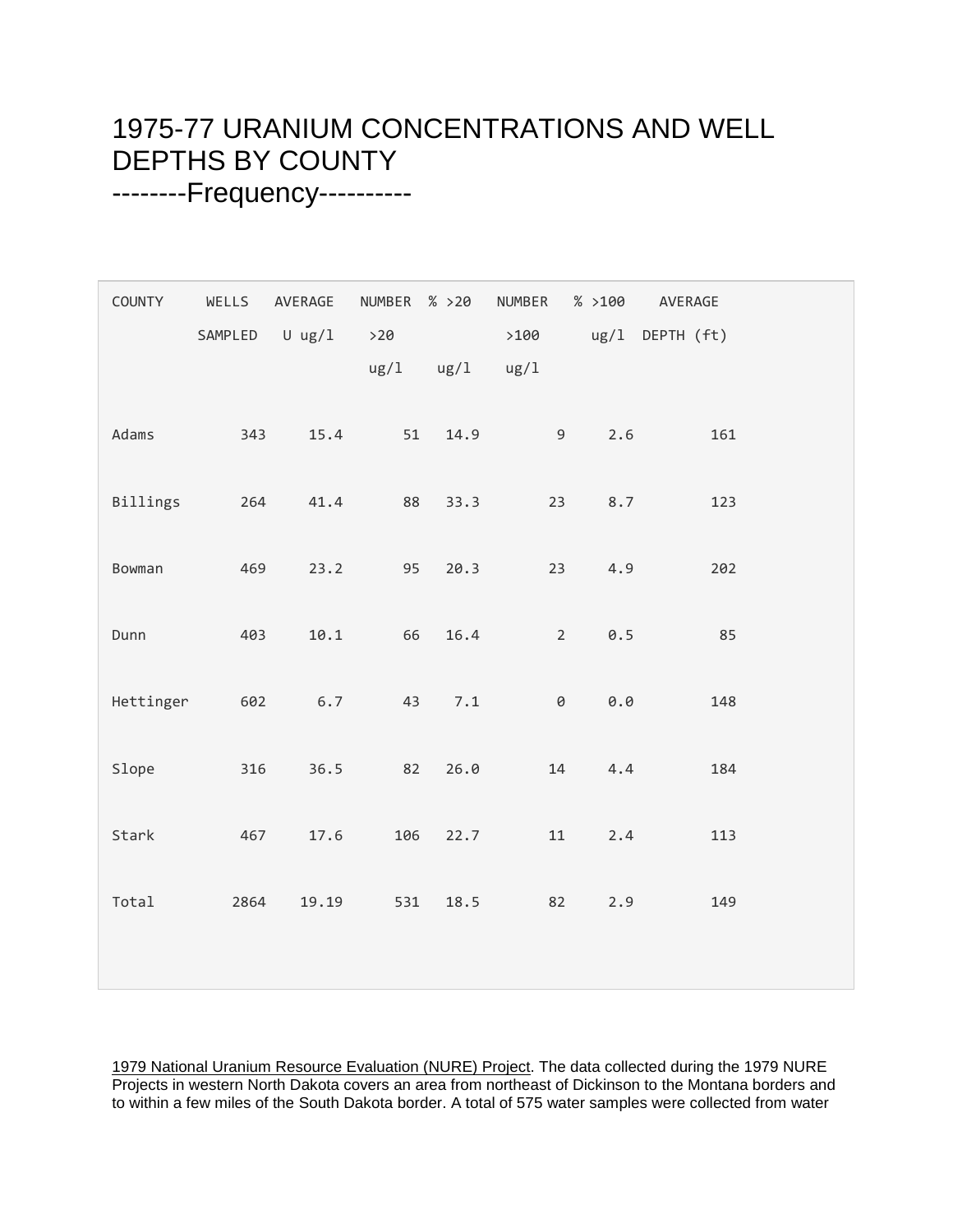### 1975-77 URANIUM CONCENTRATIONS AND WELL DEPTHS BY COUNTY --------Frequency----------

| COUNTY    | SAMPLED | WELLS AVERAGE<br>U $\lg/1$ | NUMBER % >20<br>$>20$<br>ug/1 | ug/1 | NUMBER<br>>100<br>ug/1 | % >100 | AVERAGE<br>ug/1 DEPTH (ft) |  |
|-----------|---------|----------------------------|-------------------------------|------|------------------------|--------|----------------------------|--|
| Adams     | 343     | 15.4                       | 51                            | 14.9 | 9                      | 2.6    | 161                        |  |
| Billings  | 264     | 41.4                       | 88                            | 33.3 | 23                     | 8.7    | 123                        |  |
| Bowman    | 469     | 23.2                       | 95                            | 20.3 | 23                     | 4.9    | 202                        |  |
| Dunn      | 403     | 10.1                       | 66                            | 16.4 | $\overline{2}$         | 0.5    | 85                         |  |
| Hettinger | 602     | 6.7                        | 43                            | 7.1  | $\Theta$               | 0.0    | 148                        |  |
| Slope     | 316     | 36.5                       | 82                            | 26.0 | 14                     | 4.4    | 184                        |  |
| Stark     | 467     | 17.6                       | 106                           | 22.7 | 11                     | 2.4    | 113                        |  |
| Total     | 2864    | 19.19                      | 531                           | 18.5 | 82                     | 2.9    | 149                        |  |

1979 National Uranium Resource Evaluation (NURE) Project. The data collected during the 1979 NURE Projects in western North Dakota covers an area from northeast of Dickinson to the Montana borders and to within a few miles of the South Dakota border. A total of 575 water samples were collected from water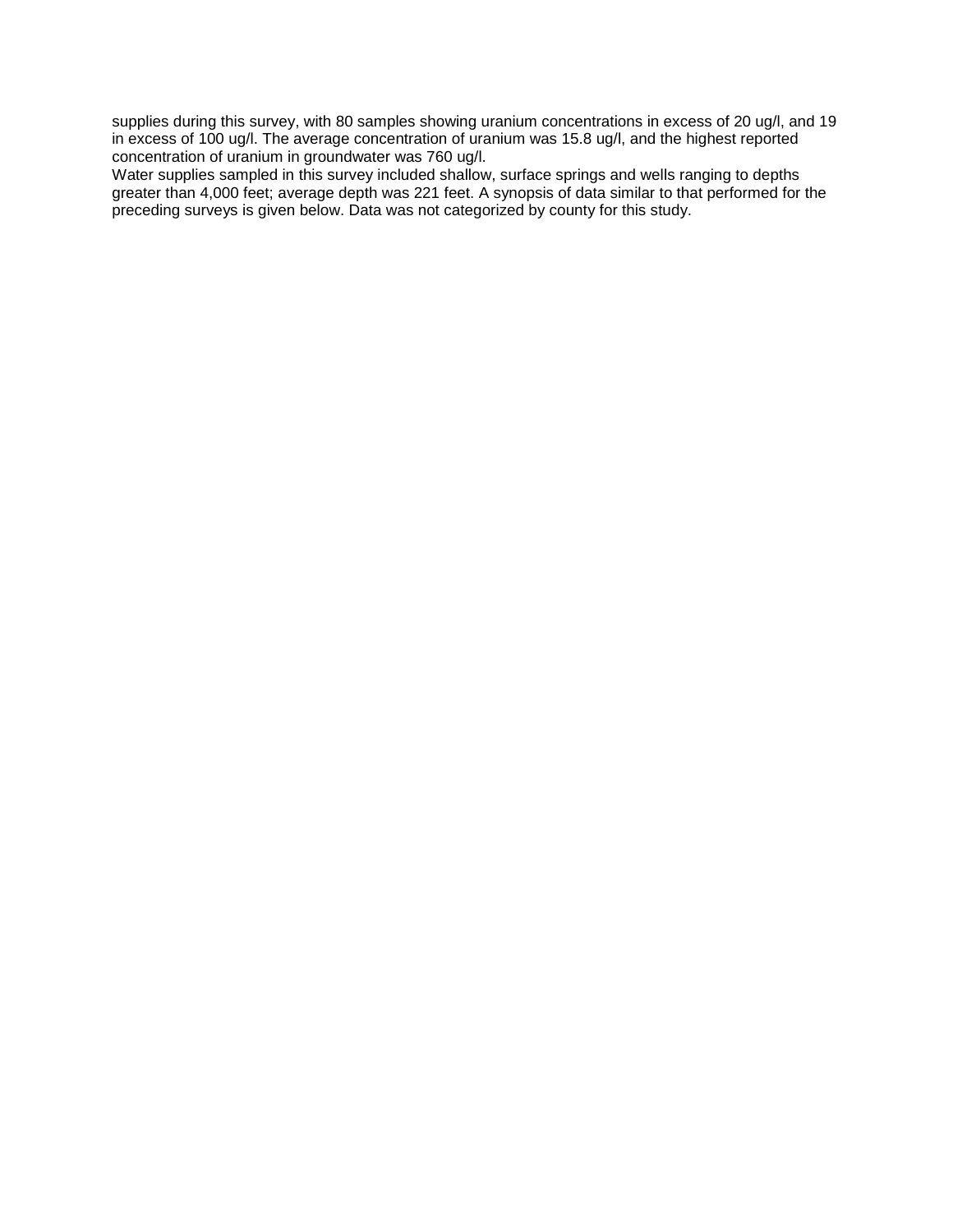supplies during this survey, with 80 samples showing uranium concentrations in excess of 20 ug/l, and 19 in excess of 100 ug/l. The average concentration of uranium was 15.8 ug/l, and the highest reported concentration of uranium in groundwater was 760 ug/l.

Water supplies sampled in this survey included shallow, surface springs and wells ranging to depths greater than 4,000 feet; average depth was 221 feet. A synopsis of data similar to that performed for the preceding surveys is given below. Data was not categorized by county for this study.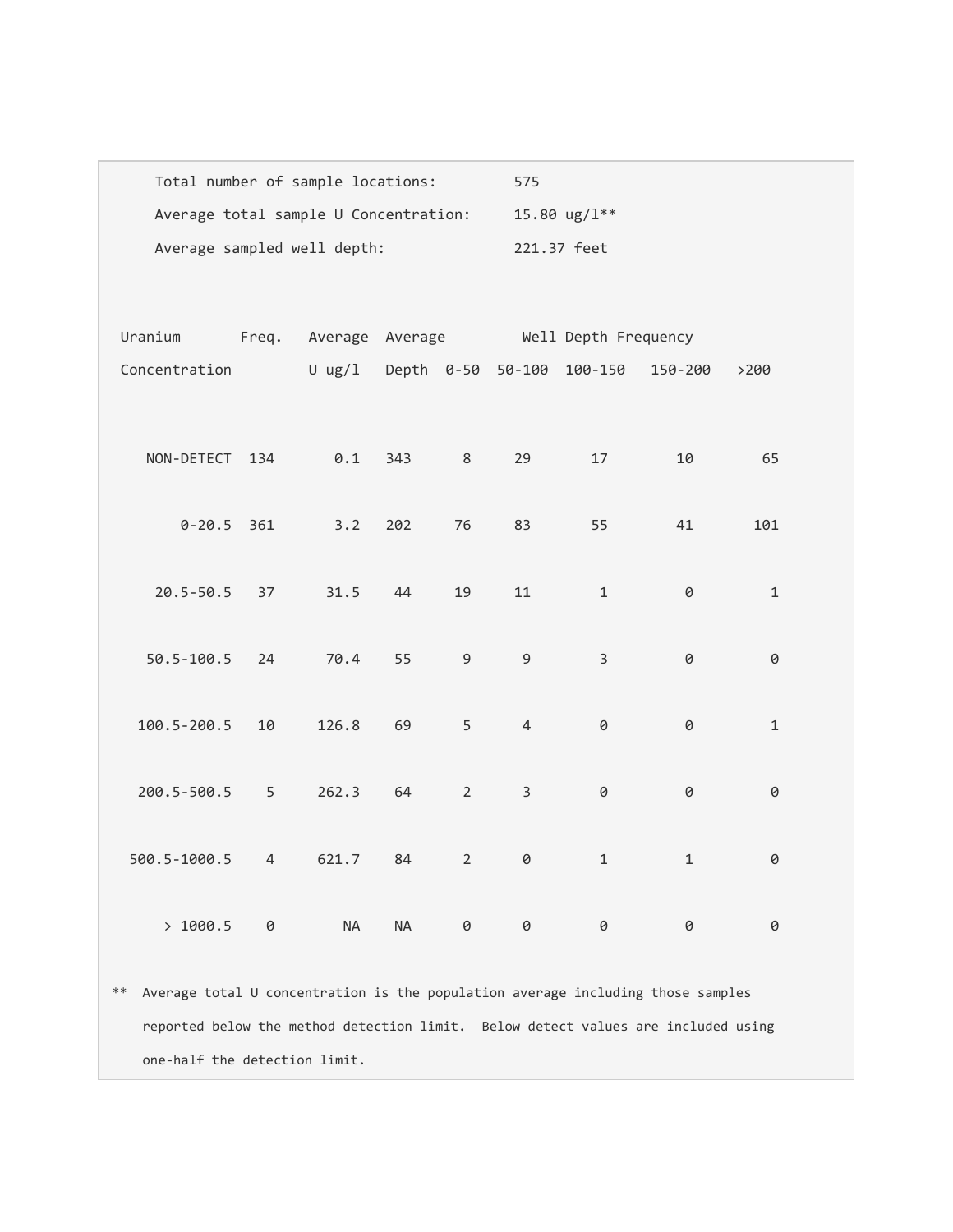| Total number of sample locations:     | 575               |
|---------------------------------------|-------------------|
| Average total sample U Concentration: | 15.80 $\mu$ g/l** |
| Average sampled well depth:           | 221.37 feet       |

| Uranium        |    |           | Freq. Average Average |                | Well Depth Frequency |                                  |              |       |  |
|----------------|----|-----------|-----------------------|----------------|----------------------|----------------------------------|--------------|-------|--|
| Concentration  |    |           |                       |                |                      | U ug/l Depth 0-50 50-100 100-150 | 150-200      | >200  |  |
|                |    |           |                       |                |                      |                                  |              |       |  |
| NON-DETECT 134 |    | 0.1       | 343                   | 8              | 29                   | 17                               | 10           | 65    |  |
|                |    |           |                       |                |                      |                                  |              |       |  |
| $0 - 20.5$ 361 |    | 3.2       | 202                   | 76             | 83                   | 55                               | 41           | 101   |  |
| 20.5-50.5 37   |    | 31.5      | 44                    | 19             | 11                   | $\mathbf{1}$                     | 0            | $1\,$ |  |
|                |    |           |                       |                |                      |                                  |              |       |  |
| 50.5-100.5 24  |    | 70.4      | 55                    | $\overline{9}$ | 9                    | $\overline{3}$                   | 0            | 0     |  |
|                |    |           |                       |                |                      |                                  |              |       |  |
| 100.5-200.5    | 10 | 126.8     | 69                    | 5              | $\overline{4}$       | 0                                | 0            | $1\,$ |  |
| 200.5-500.5    | 5  | 262.3     | 64                    | $\overline{2}$ | $\overline{3}$       | 0                                | 0            | 0     |  |
|                |    |           |                       |                |                      |                                  |              |       |  |
| 500.5-1000.5   | 4  | 621.7     | 84                    | $\overline{2}$ | $\Theta$             | $\mathbf{1}$                     | $\mathbf{1}$ | 0     |  |
|                |    |           |                       |                |                      |                                  |              |       |  |
| >1000.5        | 0  | <b>NA</b> | <b>NA</b>             | $\Theta$       | 0                    | 0                                | 0            | 0     |  |

\*\* Average total U concentration is the population average including those samples reported below the method detection limit. Below detect values are included using one-half the detection limit.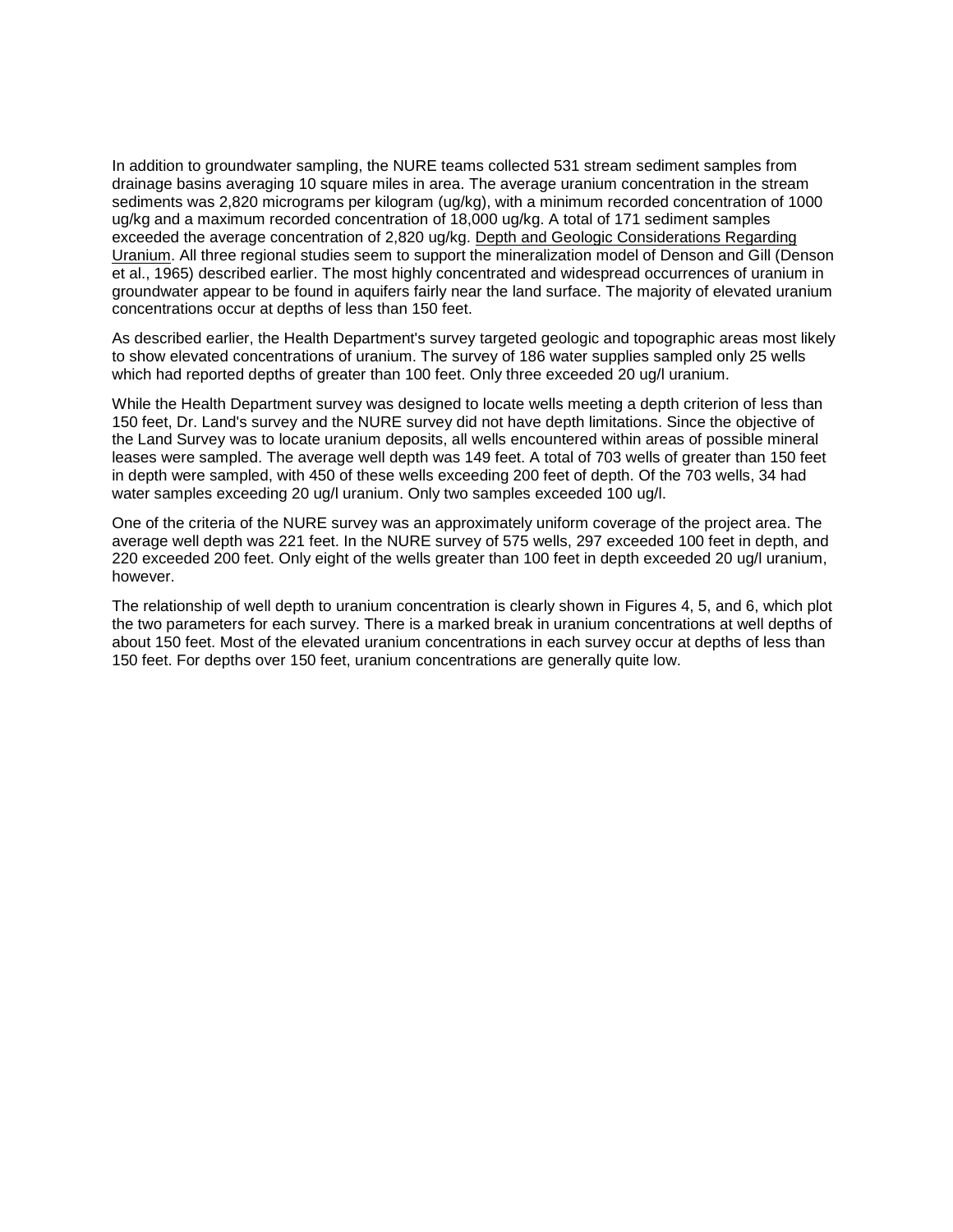In addition to groundwater sampling, the NURE teams collected 531 stream sediment samples from drainage basins averaging 10 square miles in area. The average uranium concentration in the stream sediments was 2,820 micrograms per kilogram (ug/kg), with a minimum recorded concentration of 1000 ug/kg and a maximum recorded concentration of 18,000 ug/kg. A total of 171 sediment samples exceeded the average concentration of 2,820 ug/kg. Depth and Geologic Considerations Regarding Uranium. All three regional studies seem to support the mineralization model of Denson and Gill (Denson et al., 1965) described earlier. The most highly concentrated and widespread occurrences of uranium in groundwater appear to be found in aquifers fairly near the land surface. The majority of elevated uranium concentrations occur at depths of less than 150 feet.

As described earlier, the Health Department's survey targeted geologic and topographic areas most likely to show elevated concentrations of uranium. The survey of 186 water supplies sampled only 25 wells which had reported depths of greater than 100 feet. Only three exceeded 20 ug/l uranium.

While the Health Department survey was designed to locate wells meeting a depth criterion of less than 150 feet, Dr. Land's survey and the NURE survey did not have depth limitations. Since the objective of the Land Survey was to locate uranium deposits, all wells encountered within areas of possible mineral leases were sampled. The average well depth was 149 feet. A total of 703 wells of greater than 150 feet in depth were sampled, with 450 of these wells exceeding 200 feet of depth. Of the 703 wells, 34 had water samples exceeding 20 ug/l uranium. Only two samples exceeded 100 ug/l.

One of the criteria of the NURE survey was an approximately uniform coverage of the project area. The average well depth was 221 feet. In the NURE survey of 575 wells, 297 exceeded 100 feet in depth, and 220 exceeded 200 feet. Only eight of the wells greater than 100 feet in depth exceeded 20 ug/l uranium, however.

The relationship of well depth to uranium concentration is clearly shown in Figures 4, 5, and 6, which plot the two parameters for each survey. There is a marked break in uranium concentrations at well depths of about 150 feet. Most of the elevated uranium concentrations in each survey occur at depths of less than 150 feet. For depths over 150 feet, uranium concentrations are generally quite low.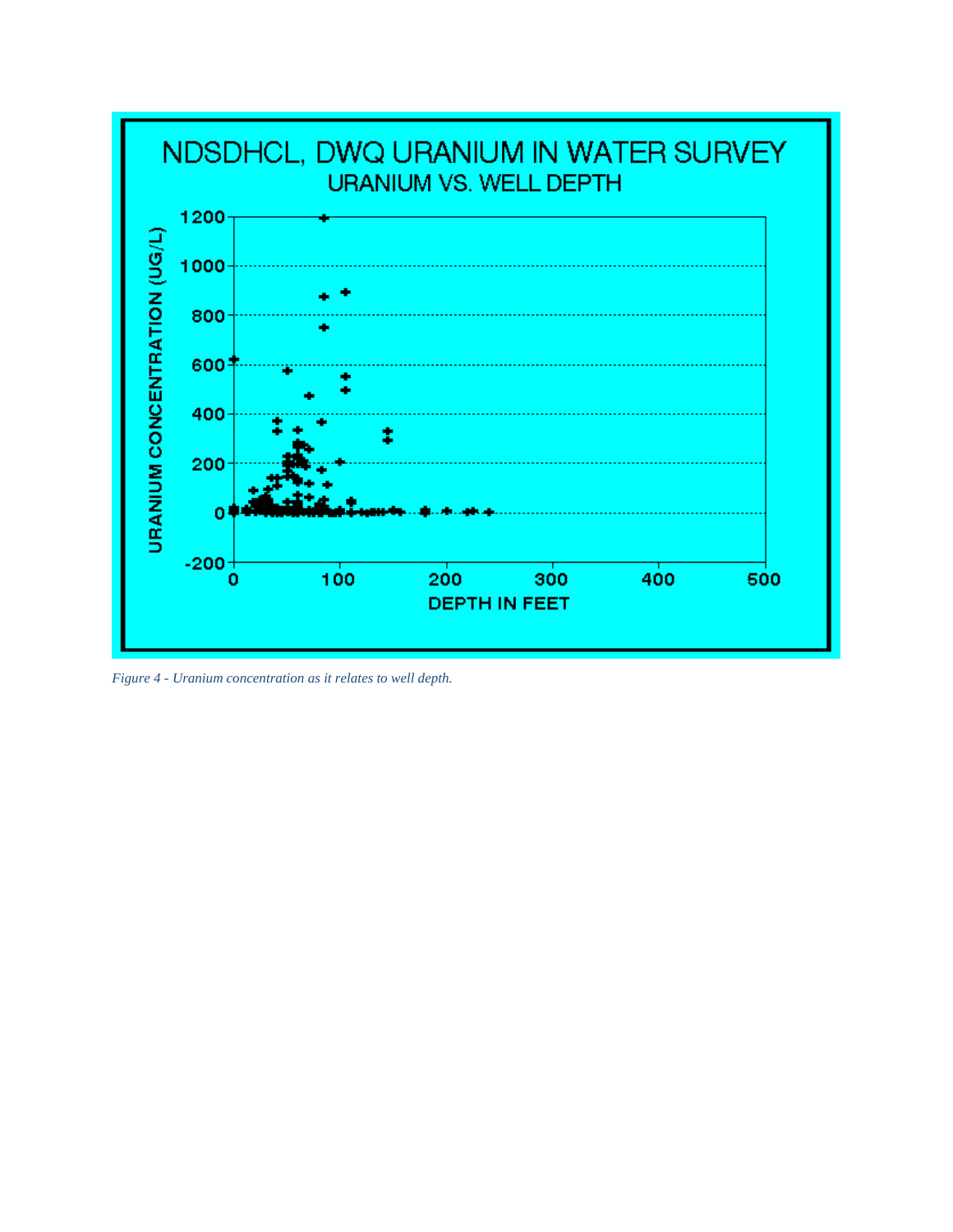

*Figure 4 - Uranium concentration as it relates to well depth.*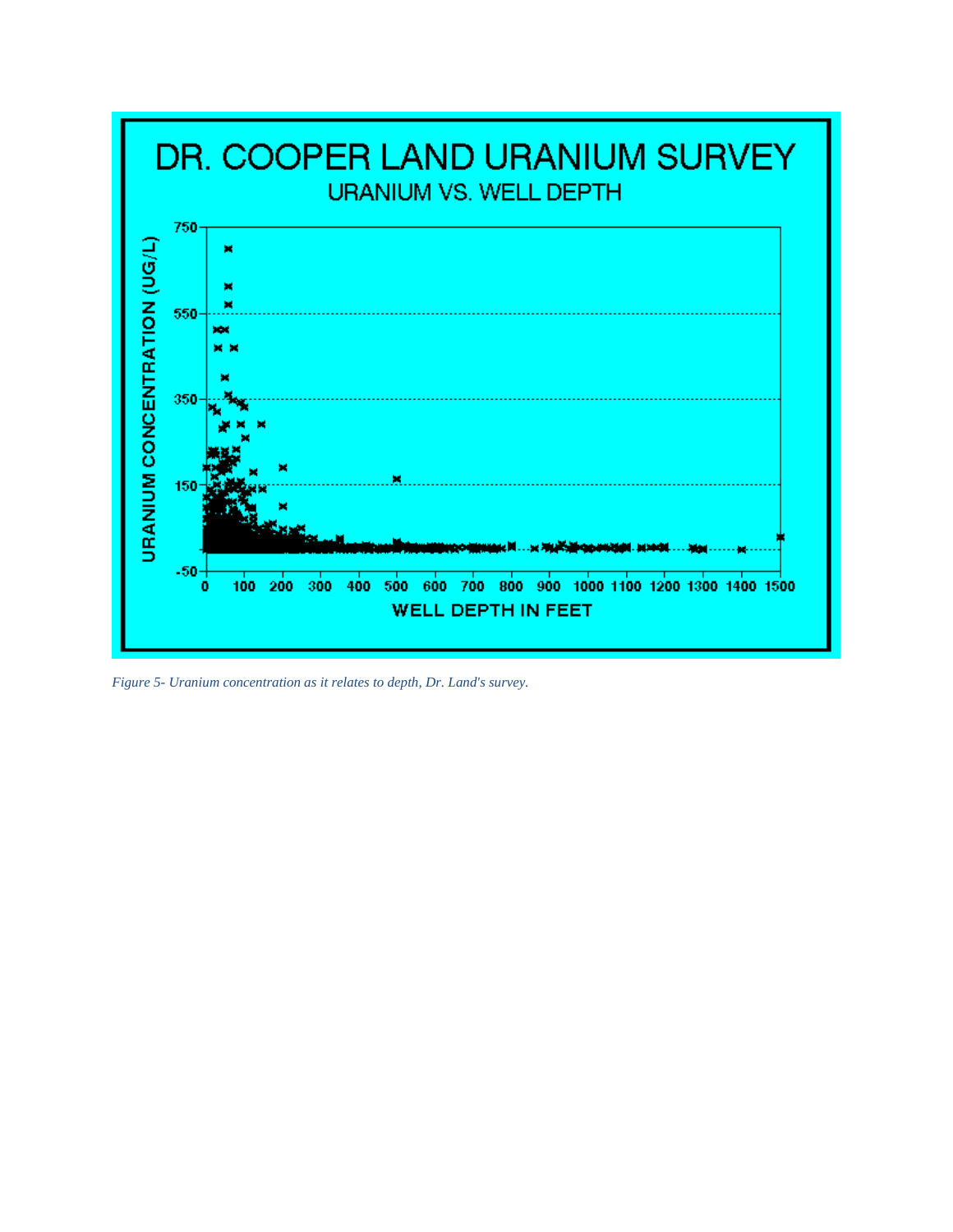

*Figure 5- Uranium concentration as it relates to depth, Dr. Land's survey.*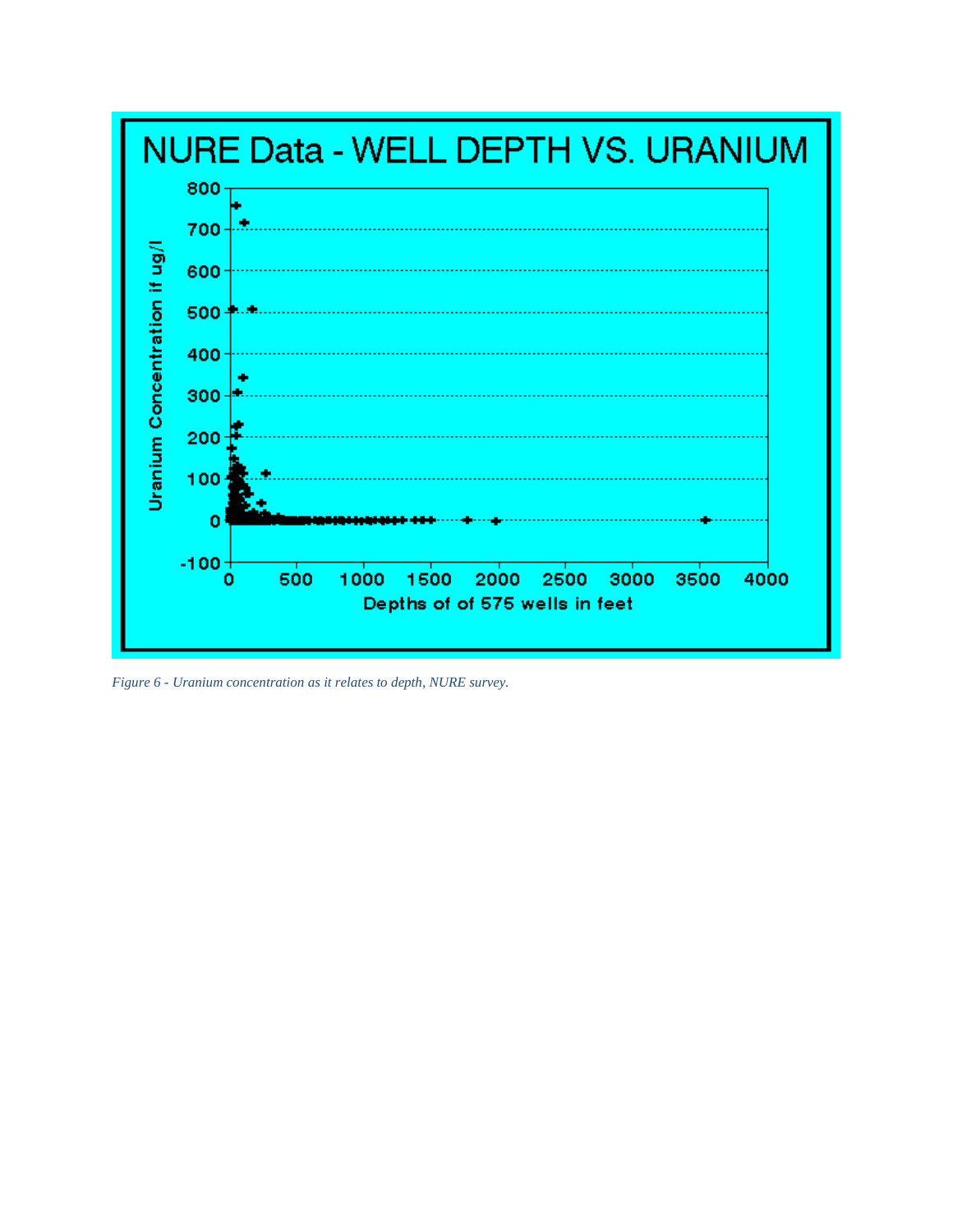

*Figure 6 - Uranium concentration as it relates to depth, NURE survey.*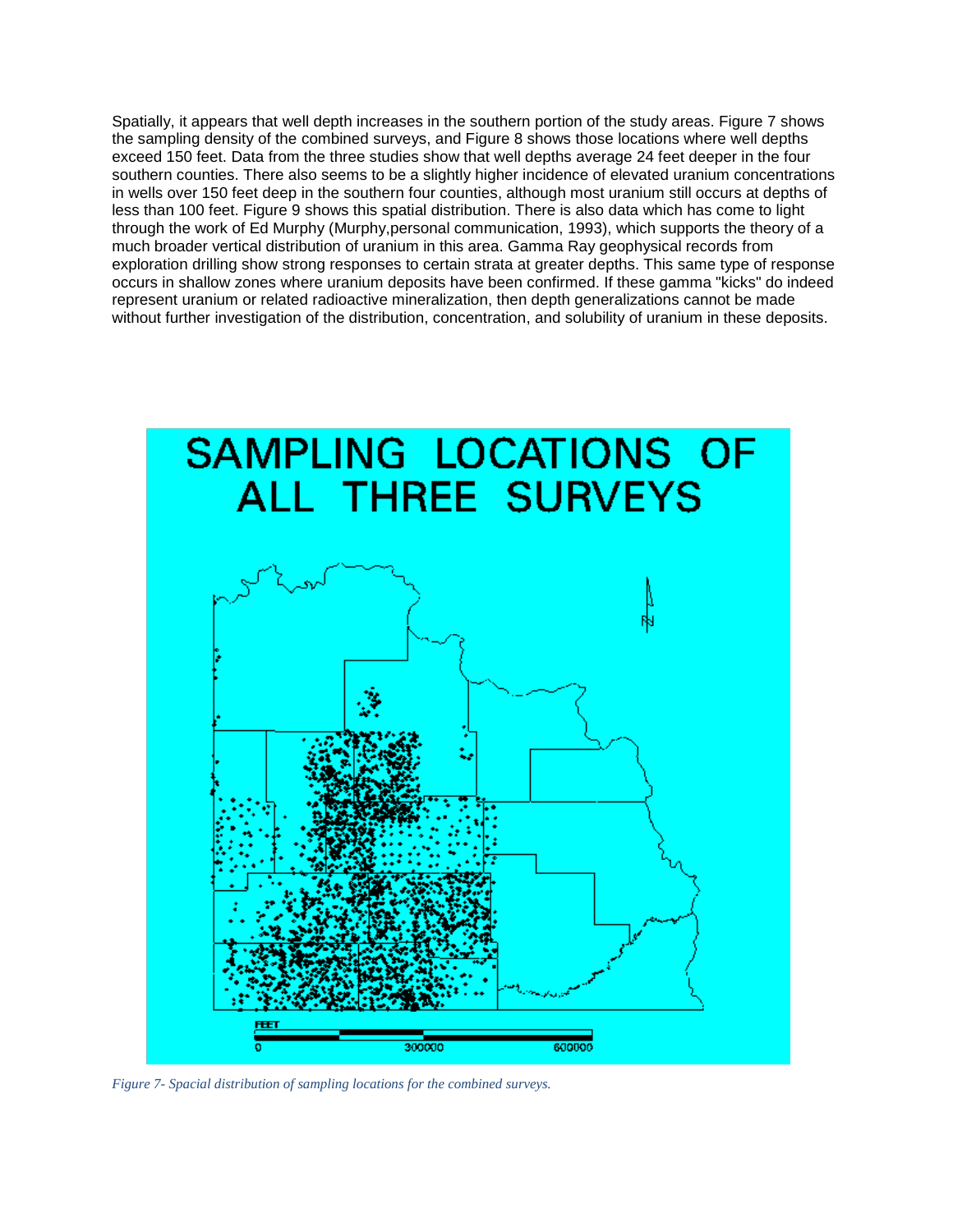Spatially, it appears that well depth increases in the southern portion of the study areas. Figure 7 shows the sampling density of the combined surveys, and Figure 8 shows those locations where well depths exceed 150 feet. Data from the three studies show that well depths average 24 feet deeper in the four southern counties. There also seems to be a slightly higher incidence of elevated uranium concentrations in wells over 150 feet deep in the southern four counties, although most uranium still occurs at depths of less than 100 feet. Figure 9 shows this spatial distribution. There is also data which has come to light through the work of Ed Murphy (Murphy,personal communication, 1993), which supports the theory of a much broader vertical distribution of uranium in this area. Gamma Ray geophysical records from exploration drilling show strong responses to certain strata at greater depths. This same type of response occurs in shallow zones where uranium deposits have been confirmed. If these gamma "kicks" do indeed represent uranium or related radioactive mineralization, then depth generalizations cannot be made without further investigation of the distribution, concentration, and solubility of uranium in these deposits.



*Figure 7- Spacial distribution of sampling locations for the combined surveys.*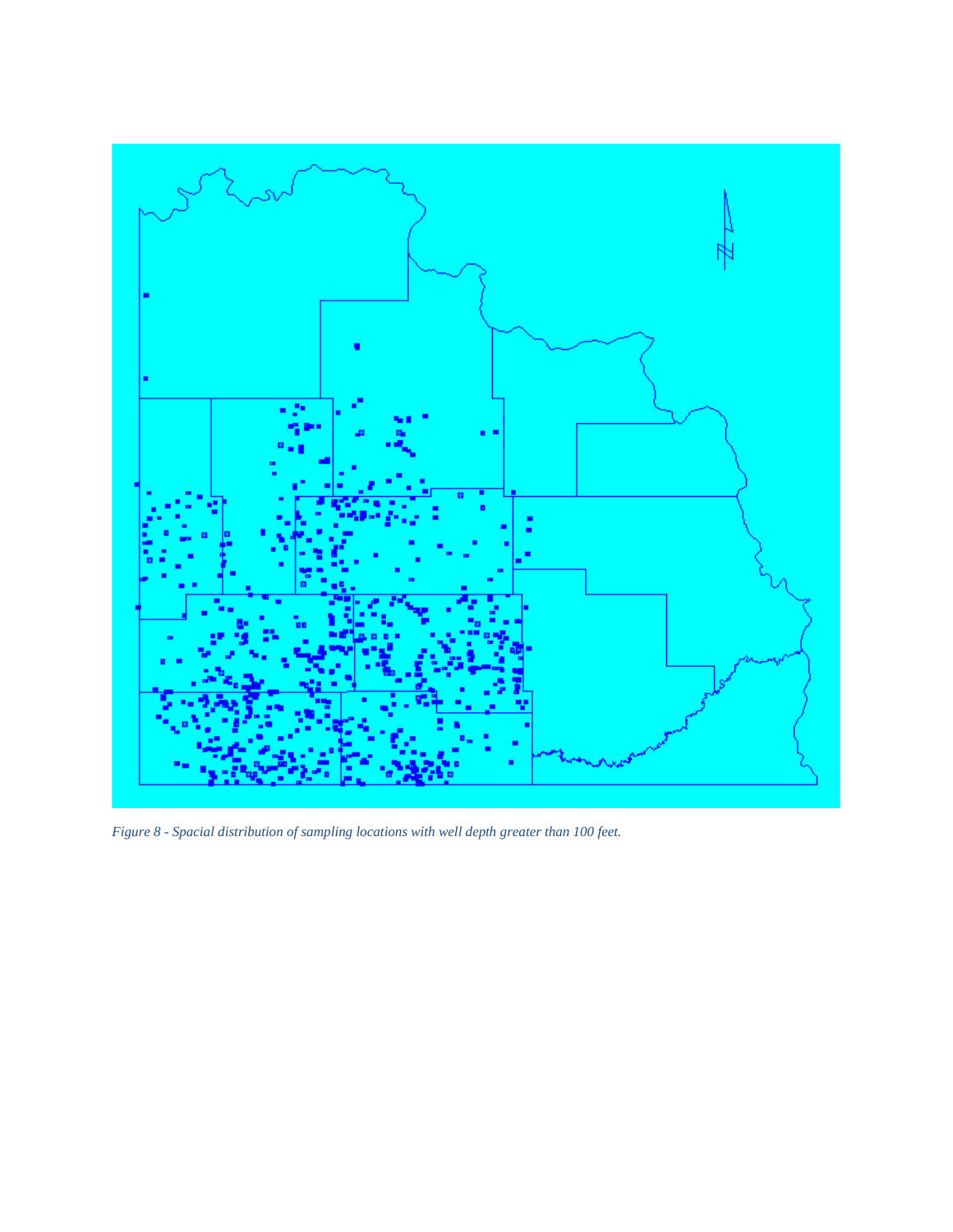

*Figure 8 - Spacial distribution of sampling locations with well depth greater than 100 feet.*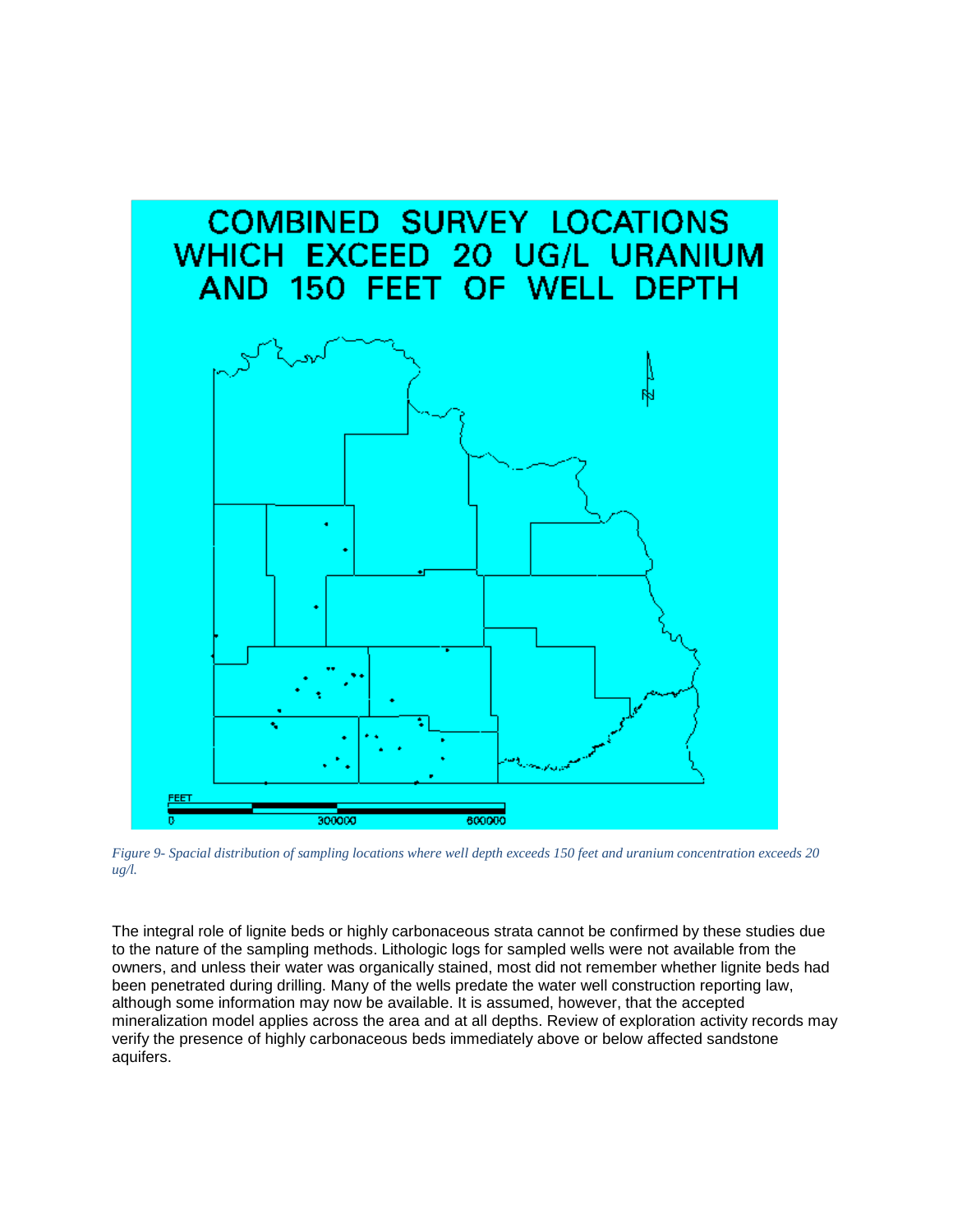

*Figure 9- Spacial distribution of sampling locations where well depth exceeds 150 feet and uranium concentration exceeds 20 ug/l.*

The integral role of lignite beds or highly carbonaceous strata cannot be confirmed by these studies due to the nature of the sampling methods. Lithologic logs for sampled wells were not available from the owners, and unless their water was organically stained, most did not remember whether lignite beds had been penetrated during drilling. Many of the wells predate the water well construction reporting law, although some information may now be available. It is assumed, however, that the accepted mineralization model applies across the area and at all depths. Review of exploration activity records may verify the presence of highly carbonaceous beds immediately above or below affected sandstone aquifers.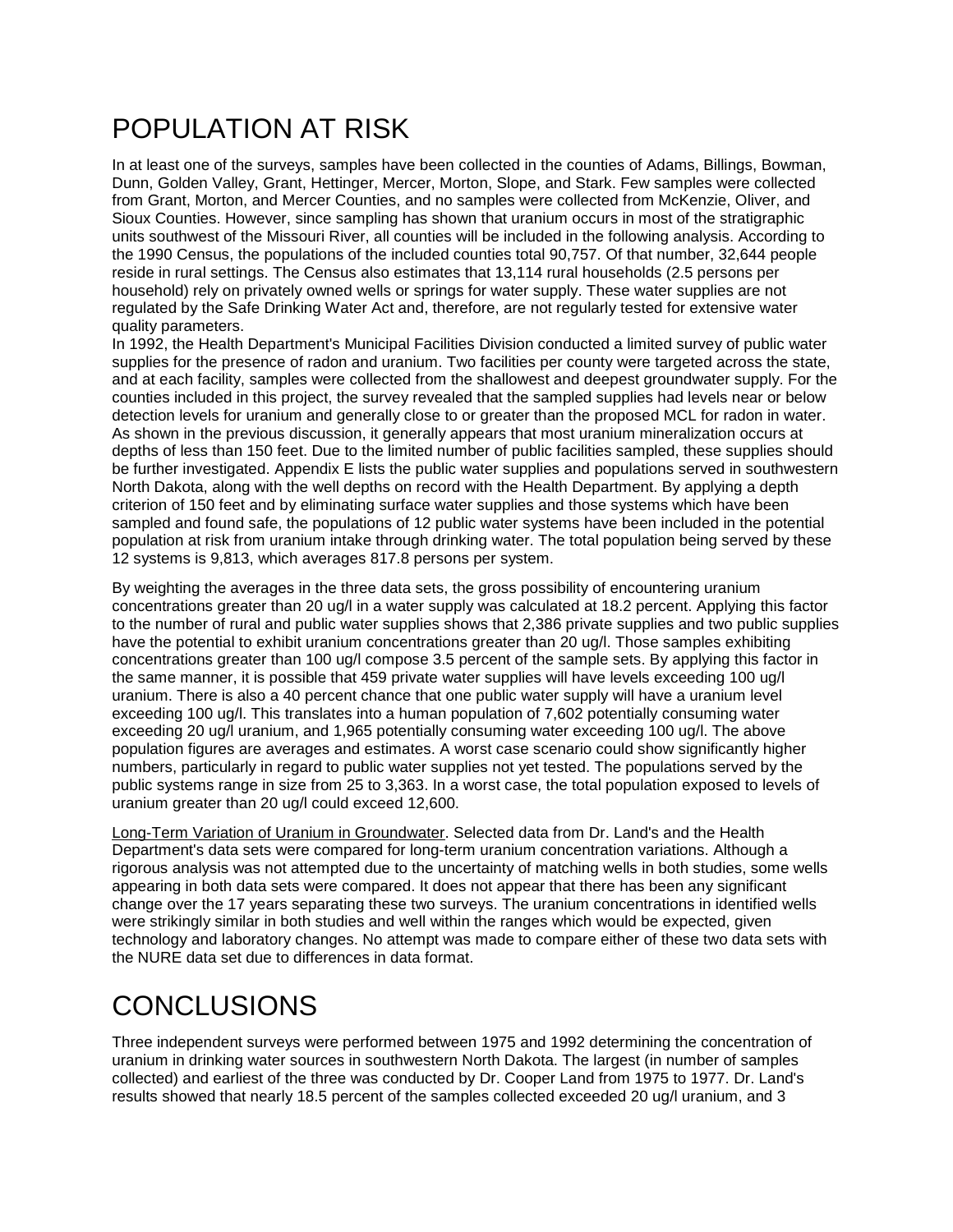### POPULATION AT RISK

In at least one of the surveys, samples have been collected in the counties of Adams, Billings, Bowman, Dunn, Golden Valley, Grant, Hettinger, Mercer, Morton, Slope, and Stark. Few samples were collected from Grant, Morton, and Mercer Counties, and no samples were collected from McKenzie, Oliver, and Sioux Counties. However, since sampling has shown that uranium occurs in most of the stratigraphic units southwest of the Missouri River, all counties will be included in the following analysis. According to the 1990 Census, the populations of the included counties total 90,757. Of that number, 32,644 people reside in rural settings. The Census also estimates that 13,114 rural households (2.5 persons per household) rely on privately owned wells or springs for water supply. These water supplies are not regulated by the Safe Drinking Water Act and, therefore, are not regularly tested for extensive water quality parameters.

In 1992, the Health Department's Municipal Facilities Division conducted a limited survey of public water supplies for the presence of radon and uranium. Two facilities per county were targeted across the state, and at each facility, samples were collected from the shallowest and deepest groundwater supply. For the counties included in this project, the survey revealed that the sampled supplies had levels near or below detection levels for uranium and generally close to or greater than the proposed MCL for radon in water. As shown in the previous discussion, it generally appears that most uranium mineralization occurs at depths of less than 150 feet. Due to the limited number of public facilities sampled, these supplies should be further investigated. Appendix E lists the public water supplies and populations served in southwestern North Dakota, along with the well depths on record with the Health Department. By applying a depth criterion of 150 feet and by eliminating surface water supplies and those systems which have been sampled and found safe, the populations of 12 public water systems have been included in the potential population at risk from uranium intake through drinking water. The total population being served by these 12 systems is 9,813, which averages 817.8 persons per system.

By weighting the averages in the three data sets, the gross possibility of encountering uranium concentrations greater than 20 ug/l in a water supply was calculated at 18.2 percent. Applying this factor to the number of rural and public water supplies shows that 2,386 private supplies and two public supplies have the potential to exhibit uranium concentrations greater than 20 ug/l. Those samples exhibiting concentrations greater than 100 ug/l compose 3.5 percent of the sample sets. By applying this factor in the same manner, it is possible that 459 private water supplies will have levels exceeding 100 ug/l uranium. There is also a 40 percent chance that one public water supply will have a uranium level exceeding 100 ug/l. This translates into a human population of 7,602 potentially consuming water exceeding 20 ug/l uranium, and 1,965 potentially consuming water exceeding 100 ug/l. The above population figures are averages and estimates. A worst case scenario could show significantly higher numbers, particularly in regard to public water supplies not yet tested. The populations served by the public systems range in size from 25 to 3,363. In a worst case, the total population exposed to levels of uranium greater than 20 ug/l could exceed 12,600.

Long-Term Variation of Uranium in Groundwater. Selected data from Dr. Land's and the Health Department's data sets were compared for long-term uranium concentration variations. Although a rigorous analysis was not attempted due to the uncertainty of matching wells in both studies, some wells appearing in both data sets were compared. It does not appear that there has been any significant change over the 17 years separating these two surveys. The uranium concentrations in identified wells were strikingly similar in both studies and well within the ranges which would be expected, given technology and laboratory changes. No attempt was made to compare either of these two data sets with the NURE data set due to differences in data format.

# **CONCLUSIONS**

Three independent surveys were performed between 1975 and 1992 determining the concentration of uranium in drinking water sources in southwestern North Dakota. The largest (in number of samples collected) and earliest of the three was conducted by Dr. Cooper Land from 1975 to 1977. Dr. Land's results showed that nearly 18.5 percent of the samples collected exceeded 20 ug/l uranium, and 3